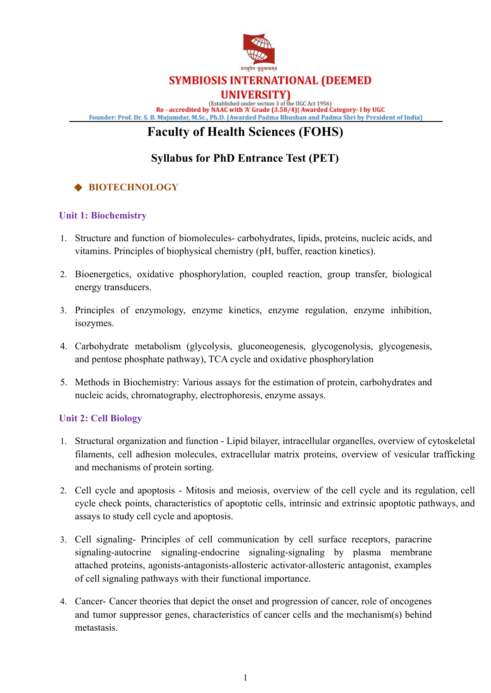

(Established under section 3 of the UGC Act 1956)<br>Re - accredited by NAAC with 'A' Grade (3.58/4)| Awarded Category- I by UGC

Founder: Prof. Dr. S. B. Mujumdar, M.Sc., Ph.D. (Awarded Padma Bhushan and Padma Shri by President of India)

# **Faculty of Health Sciences (FOHS)**

### **Syllabus for PhD Entrance Test (PET)**

### ❖ **BIOTECHNOLOGY**

### **Unit 1: Biochemistry**

- 1. Structure and function of biomolecules- carbohydrates, lipids, proteins, nucleic acids, and vitamins. Principles of biophysical chemistry (pH, buffer, reaction kinetics).
- 2. Bioenergetics, oxidative phosphorylation, coupled reaction, group transfer, biological energy transducers.
- 3. Principles of enzymology, enzyme kinetics, enzyme regulation, enzyme inhibition, isozymes.
- 4. Carbohydrate metabolism (glycolysis, gluconeogenesis, glycogenolysis, glycogenesis, and pentose phosphate pathway), TCA cycle and oxidative phosphorylation
- 5. Methods in Biochemistry: Various assays for the estimation of protein, carbohydrates and nucleic acids, chromatography, electrophoresis, enzyme assays.

### **Unit 2: Cell Biology**

- 1. Structural organization and function Lipid bilayer, intracellular organelles, overview of cytoskeletal filaments, cell adhesion molecules, extracellular matrix proteins, overview of vesicular trafficking and mechanisms of protein sorting.
- 2. Cell cycle and apoptosis Mitosis and meiosis, overview of the cell cycle and its regulation, cell cycle check points, characteristics of apoptotic cells, intrinsic and extrinsic apoptotic pathways, and assays to study cell cycle and apoptosis.
- 3. Cell signaling- Principles of cell communication by cell surface receptors, paracrine signaling-autocrine signaling-endocrine signaling-signaling by plasma membrane attached proteins, agonists-antagonists-allosteric activator-allosteric antagonist, examples of cell signaling pathways with their functional importance.
- 4. Cancer- Cancer theories that depict the onset and progression of cancer, role of oncogenes and tumor suppressor genes, characteristics of cancer cells and the mechanism(s) behind metastasis.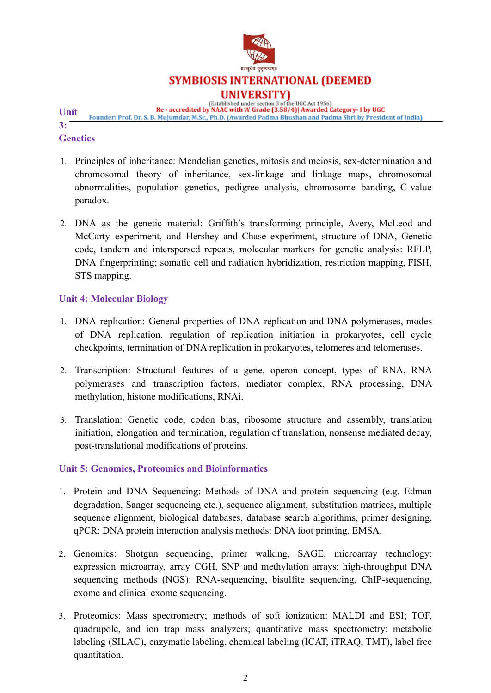

Established under section 3 of the UGC Act 1956)<br>Re - accredited by NAAC with 'A' Grade (3.58/4)| Awarded Category- I by UGC

**Unit** Founder: Prof. Dr. S. B. Mujumdar, M.Sc., Ph.D. (Awarded Padma Bhushan and Padma Shri by President of India) **3:**

### **Genetics**

- 1. Principles of inheritance: Mendelian genetics, mitosis and meiosis, sex-determination and chromosomal theory of inheritance, sex-linkage and linkage maps, chromosomal abnormalities, population genetics, pedigree analysis, chromosome banding, C-value paradox.
- 2. DNA as the genetic material: Griffith's transforming principle, Avery, McLeod and McCarty experiment, and Hershey and Chase experiment, structure of DNA, Genetic code, tandem and interspersed repeats, molecular markers for genetic analysis: RFLP, DNA fingerprinting; somatic cell and radiation hybridization, restriction mapping, FISH, STS mapping.

### **Unit 4: Molecular Biology**

- 1. DNA replication: General properties of DNA replication and DNA polymerases, modes of DNA replication, regulation of replication initiation in prokaryotes, cell cycle checkpoints, termination of DNA replication in prokaryotes, telomeres and telomerases.
- 2. Transcription: Structural features of a gene, operon concept, types of RNA, RNA polymerases and transcription factors, mediator complex, RNA processing, DNA methylation, histone modifications, RNAi.
- 3. Translation: Genetic code, codon bias, ribosome structure and assembly, translation initiation, elongation and termination, regulation of translation, nonsense mediated decay, post-translational modifications of proteins.

### **Unit 5: Genomics, Proteomics and Bioinformatics**

- 1. Protein and DNA Sequencing: Methods of DNA and protein sequencing (e.g. Edman degradation, Sanger sequencing etc.), sequence alignment, substitution matrices, multiple sequence alignment, biological databases, database search algorithms, primer designing, qPCR; DNA protein interaction analysis methods: DNA foot printing, EMSA.
- 2. Genomics: Shotgun sequencing, primer walking, SAGE, microarray technology: expression microarray, array CGH, SNP and methylation arrays; high-throughput DNA sequencing methods (NGS): RNA-sequencing, bisulfite sequencing, ChIP-sequencing, exome and clinical exome sequencing.
- 3. Proteomics: Mass spectrometry; methods of soft ionization: MALDI and ESI; TOF, quadrupole, and ion trap mass analyzers; quantitative mass spectrometry: metabolic labeling (SILAC), enzymatic labeling, chemical labeling (ICAT, iTRAQ, TMT), label free quantitation.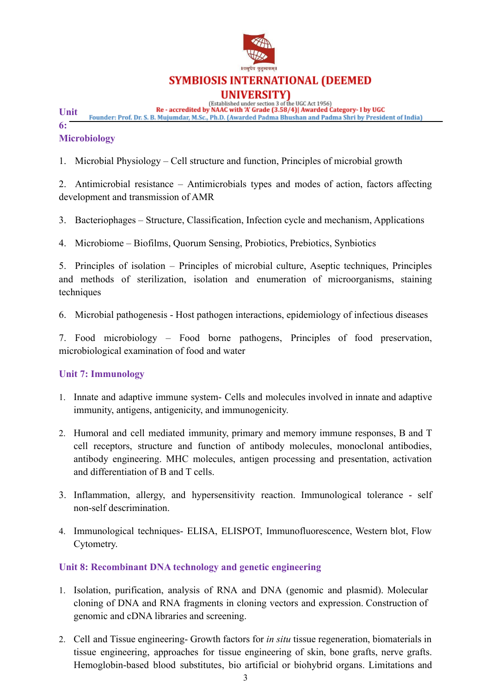

**UNIVERSITY**<br>(Established under section 3 of the UGC Act 1956)<br>Re - accredited by NAAC with 'A' Grade (3.58/4)| Awarded Category- I by UGC

**Unit** Founder: Prof. Dr. S. B. Mujumdar, M.Sc., Ph.D. (Awarded Padma Bhushan and Padma Shri by President of India)

**6:**

### **Microbiology**

1. Microbial Physiology – Cell structure and function, Principles of microbial growth

2. Antimicrobial resistance – Antimicrobials types and modes of action, factors affecting development and transmission of AMR

3. Bacteriophages – Structure, Classification, Infection cycle and mechanism, Applications

4. Microbiome – Biofilms, Quorum Sensing, Probiotics, Prebiotics, Synbiotics

5. Principles of isolation – Principles of microbial culture, Aseptic techniques, Principles and methods of sterilization, isolation and enumeration of microorganisms, staining techniques

6. Microbial pathogenesis - Host pathogen interactions, epidemiology of infectious diseases

7. Food microbiology – Food borne pathogens, Principles of food preservation, microbiological examination of food and water

### **Unit 7: Immunology**

- 1. Innate and adaptive immune system- Cells and molecules involved in innate and adaptive immunity, antigens, antigenicity, and immunogenicity.
- 2. Humoral and cell mediated immunity, primary and memory immune responses, B and T cell receptors, structure and function of antibody molecules, monoclonal antibodies, antibody engineering. MHC molecules, antigen processing and presentation, activation and differentiation of B and T cells.
- 3. Inflammation, allergy, and hypersensitivity reaction. Immunological tolerance self non-self descrimination.
- 4. Immunological techniques- ELISA, ELISPOT, Immunofluorescence, Western blot, Flow Cytometry.

### **Unit 8: Recombinant DNA technology and genetic engineering**

- 1. Isolation, purification, analysis of RNA and DNA (genomic and plasmid). Molecular cloning of DNA and RNA fragments in cloning vectors and expression. Construction of genomic and cDNA libraries and screening.
- 2. Cell and Tissue engineering- Growth factors for *in situ* tissue regeneration, biomaterials in tissue engineering, approaches for tissue engineering of skin, bone grafts, nerve grafts. Hemoglobin-based blood substitutes, bio artificial or biohybrid organs. Limitations and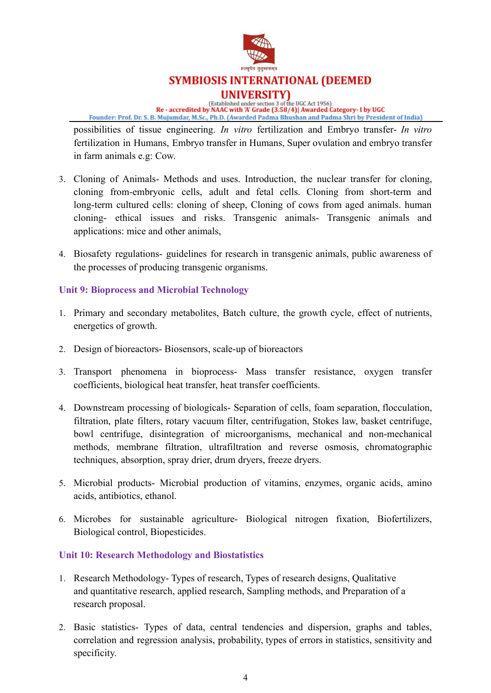

# **SYMBIOSIS INTERNATIONAL (DEEMED UNIVERSITY**<br>(Established under section 3 of the UGC Act 1956)<br>Re - accredited by NAAC with 'A' Grade (3.58/4)| Awarded Category- I by UGC

Founder: Prof. Dr. S. B. Mujumdar, M.Sc., Ph.D. (Awarded Padma Bhushan and Padma Shri by President of India)

possibilities of tissue engineering. *In vitro* fertilization and Embryo transfer- *In vitro* fertilization in Humans, Embryo transfer in Humans, Super ovulation and embryo transfer in farm animals e.g: Cow.

- 3. Cloning of Animals- Methods and uses. Introduction, the nuclear transfer for cloning, cloning from-embryonic cells, adult and fetal cells. Cloning from short-term and long-term cultured cells: cloning of sheep, Cloning of cows from aged animals. human cloning- ethical issues and risks. Transgenic animals- Transgenic animals and applications: mice and other animals,
- 4. Biosafety regulations- guidelines for research in transgenic animals, public awareness of the processes of producing transgenic organisms.

### **Unit 9: Bioprocess and Microbial Technology**

- 1. Primary and secondary metabolites, Batch culture, the growth cycle, effect of nutrients, energetics of growth.
- 2. Design of bioreactors- Biosensors, scale-up of bioreactors
- 3. Transport phenomena in bioprocess- Mass transfer resistance, oxygen transfer coefficients, biological heat transfer, heat transfer coefficients.
- 4. Downstream processing of biologicals- Separation of cells, foam separation, flocculation, filtration, plate filters, rotary vacuum filter, centrifugation, Stokes law, basket centrifuge, bowl centrifuge, disintegration of microorganisms, mechanical and non-mechanical methods, membrane filtration, ultrafiltration and reverse osmosis, chromatographic techniques, absorption, spray drier, drum dryers, freeze dryers.
- 5. Microbial products- Microbial production of vitamins, enzymes, organic acids, amino acids, antibiotics, ethanol.
- 6. Microbes for sustainable agriculture- Biological nitrogen fixation, Biofertilizers, Biological control, Biopesticides.

### **Unit 10: Research Methodology and Biostatistics**

- 1. Research Methodology- Types of research, Types of research designs, Qualitative and quantitative research, applied research, Sampling methods, and Preparation of a research proposal.
- 2. Basic statistics- Types of data, central tendencies and dispersion, graphs and tables, correlation and regression analysis, probability, types of errors in statistics, sensitivity and specificity.